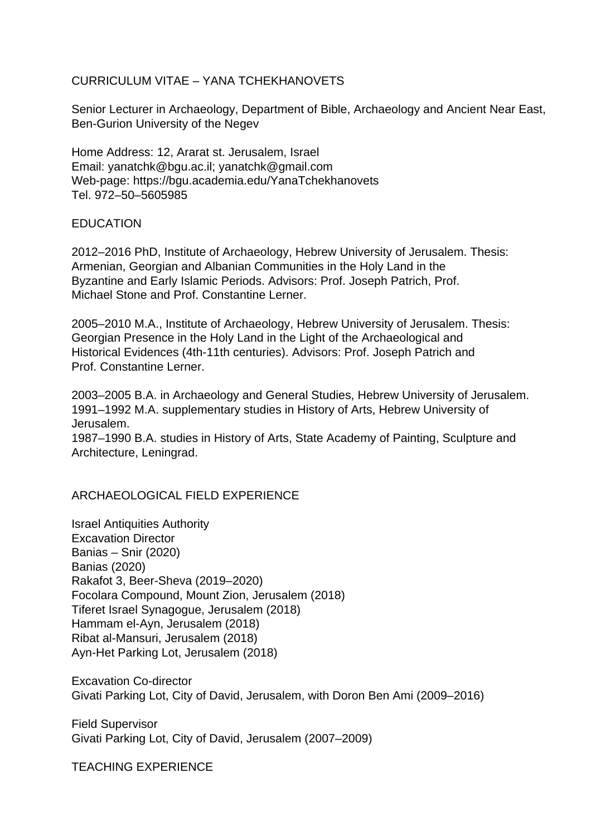## CURRICULUM VITAE – YANA TCHEKHANOVETS

Senior Lecturer in Archaeology, Department of Bible, Archaeology and Ancient Near East, Ben-Gurion University of the Negev

Home Address: 12, Ararat st. Jerusalem, Israel Email: yanatchk@bgu.ac.il; yanatchk@gmail.com Web-page: https://bgu.academia.edu/YanaTchekhanovets Tel. 972–50–5605985

## **EDUCATION**

2012–2016 PhD, Institute of Archaeology, Hebrew University of Jerusalem. Thesis: Armenian, Georgian and Albanian Communities in the Holy Land in the Byzantine and Early Islamic Periods. Advisors: Prof. Joseph Patrich, Prof. Michael Stone and Prof. Constantine Lerner.

2005–2010 M.A., Institute of Archaeology, Hebrew University of Jerusalem. Thesis: Georgian Presence in the Holy Land in the Light of the Archaeological and Historical Evidences (4th-11th centuries). Advisors: Prof. Joseph Patrich and Prof. Constantine Lerner.

2003–2005 B.A. in Archaeology and General Studies, Hebrew University of Jerusalem. 1991–1992 M.A. supplementary studies in History of Arts, Hebrew University of Jerusalem.

1987–1990 B.A. studies in History of Arts, State Academy of Painting, Sculpture and Architecture, Leningrad.

## ARCHAEOLOGICAL FIELD EXPERIENCE

Israel Antiquities Authority Excavation Director Banias – Snir (2020) Banias (2020) Rakafot 3, Beer-Sheva (2019–2020) Focolara Compound, Mount Zion, Jerusalem (2018) Tiferet Israel Synagogue, Jerusalem (2018) Hammam el-Ayn, Jerusalem (2018) Ribat al-Mansuri, Jerusalem (2018) Ayn-Het Parking Lot, Jerusalem (2018)

Excavation Co-director Givati Parking Lot, City of David, Jerusalem, with Doron Ben Ami (2009–2016)

Field Supervisor Givati Parking Lot, City of David, Jerusalem (2007–2009)

TEACHING EXPERIENCE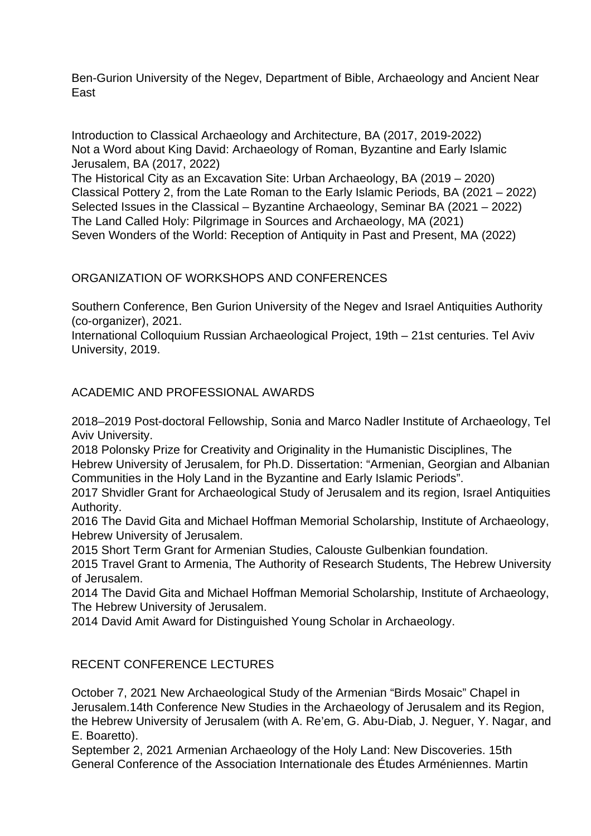Ben-Gurion University of the Negev, Department of Bible, Archaeology and Ancient Near East

Introduction to Classical Archaeology and Architecture, BA (2017, 2019-2022) Not a Word about King David: Archaeology of Roman, Byzantine and Early Islamic Jerusalem, BA (2017, 2022)

The Historical City as an Excavation Site: Urban Archaeology, BA (2019 – 2020) Classical Pottery 2, from the Late Roman to the Early Islamic Periods, BA (2021 – 2022) Selected Issues in the Classical – Byzantine Archaeology, Seminar BA (2021 – 2022) The Land Called Holy: Pilgrimage in Sources and Archaeology, MA (2021) Seven Wonders of the World: Reception of Antiquity in Past and Present, MA (2022)

ORGANIZATION OF WORKSHOPS AND CONFERENCES

Southern Conference, Ben Gurion University of the Negev and Israel Antiquities Authority (co-organizer), 2021.

International Colloquium Russian Archaeological Project, 19th – 21st centuries. Tel Aviv University, 2019.

ACADEMIC AND PROFESSIONAL AWARDS

2018–2019 Post-doctoral Fellowship, Sonia and Marco Nadler Institute of Archaeology, Tel Aviv University.

2018 Polonsky Prize for Creativity and Originality in the Humanistic Disciplines, The Hebrew University of Jerusalem, for Ph.D. Dissertation: "Armenian, Georgian and Albanian Communities in the Holy Land in the Byzantine and Early Islamic Periods".

2017 Shvidler Grant for Archaeological Study of Jerusalem and its region, Israel Antiquities Authority.

2016 The David Gita and Michael Hoffman Memorial Scholarship, Institute of Archaeology, Hebrew University of Jerusalem.

2015 Short Term Grant for Armenian Studies, Calouste Gulbenkian foundation.

2015 Travel Grant to Armenia, The Authority of Research Students, The Hebrew University of Jerusalem.

2014 The David Gita and Michael Hoffman Memorial Scholarship, Institute of Archaeology, The Hebrew University of Jerusalem.

2014 David Amit Award for Distinguished Young Scholar in Archaeology.

## RECENT CONFERENCE LECTURES

October 7, 2021 New Archaeological Study of the Armenian "Birds Mosaic" Chapel in Jerusalem.14th Conference New Studies in the Archaeology of Jerusalem and its Region, the Hebrew University of Jerusalem (with A. Re'em, G. Abu-Diab, J. Neguer, Y. Nagar, and E. Boaretto).

September 2, 2021 Armenian Archaeology of the Holy Land: New Discoveries. 15th General Conference of the Association Internationale des Études Arméniennes. Martin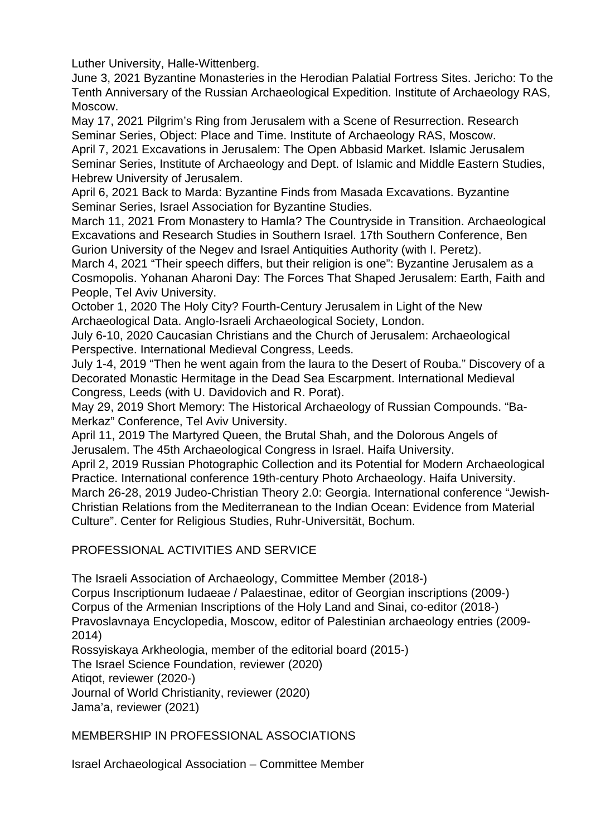Luther University, Halle-Wittenberg.

June 3, 2021 Byzantine Monasteries in the Herodian Palatial Fortress Sites. Jericho: To the Tenth Anniversary of the Russian Archaeological Expedition. Institute of Archaeology RAS, Moscow.

May 17, 2021 Pilgrim's Ring from Jerusalem with a Scene of Resurrection. Research Seminar Series, Object: Place and Time. Institute of Archaeology RAS, Moscow. April 7, 2021 Excavations in Jerusalem: The Open Abbasid Market. Islamic Jerusalem Seminar Series, Institute of Archaeology and Dept. of Islamic and Middle Eastern Studies, Hebrew University of Jerusalem.

April 6, 2021 Back to Marda: Byzantine Finds from Masada Excavations. Byzantine Seminar Series, Israel Association for Byzantine Studies.

March 11, 2021 From Monastery to Hamla? The Countryside in Transition. Archaeological Excavations and Research Studies in Southern Israel. 17th Southern Conference, Ben Gurion University of the Negev and Israel Antiquities Authority (with I. Peretz).

March 4, 2021 "Their speech differs, but their religion is one": Byzantine Jerusalem as a Cosmopolis. Yohanan Aharoni Day: The Forces That Shaped Jerusalem: Earth, Faith and People, Tel Aviv University.

October 1, 2020 The Holy City? Fourth-Century Jerusalem in Light of the New Archaeological Data. Anglo-Israeli Archaeological Society, London.

July 6-10, 2020 Caucasian Christians and the Church of Jerusalem: Archaeological Perspective. International Medieval Congress, Leeds.

July 1-4, 2019 "Then he went again from the laura to the Desert of Rouba." Discovery of a Decorated Monastic Hermitage in the Dead Sea Escarpment. International Medieval Congress, Leeds (with U. Davidovich and R. Porat).

May 29, 2019 Short Memory: The Historical Archaeology of Russian Compounds. "Ba-Merkaz" Conference, Tel Aviv University.

April 11, 2019 The Martyred Queen, the Brutal Shah, and the Dolorous Angels of Jerusalem. The 45th Archaeological Congress in Israel. Haifa University.

April 2, 2019 Russian Photographic Collection and its Potential for Modern Archaeological Practice. International conference 19th-century Photo Archaeology. Haifa University.

March 26-28, 2019 Judeo-Christian Theory 2.0: Georgia. International conference "Jewish-Christian Relations from the Mediterranean to the Indian Ocean: Evidence from Material Culture". Center for Religious Studies, Ruhr-Universität, Bochum.

PROFESSIONAL ACTIVITIES AND SERVICE

The Israeli Association of Archaeology, Committee Member (2018-)

Corpus Inscriptionum Iudaeae / Palaestinae, editor of Georgian inscriptions (2009-) Corpus of the Armenian Inscriptions of the Holy Land and Sinai, co-editor (2018-) Pravoslavnaya Encyclopedia, Moscow, editor of Palestinian archaeology entries (2009- 2014)

Rossyiskaya Arkheologia, member of the editorial board (2015-)

The Israel Science Foundation, reviewer (2020)

Atiqot, reviewer (2020-)

Journal of World Christianity, reviewer (2020)

Jama'a, reviewer (2021)

MEMBERSHIP IN PROFESSIONAL ASSOCIATIONS

Israel Archaeological Association – Committee Member